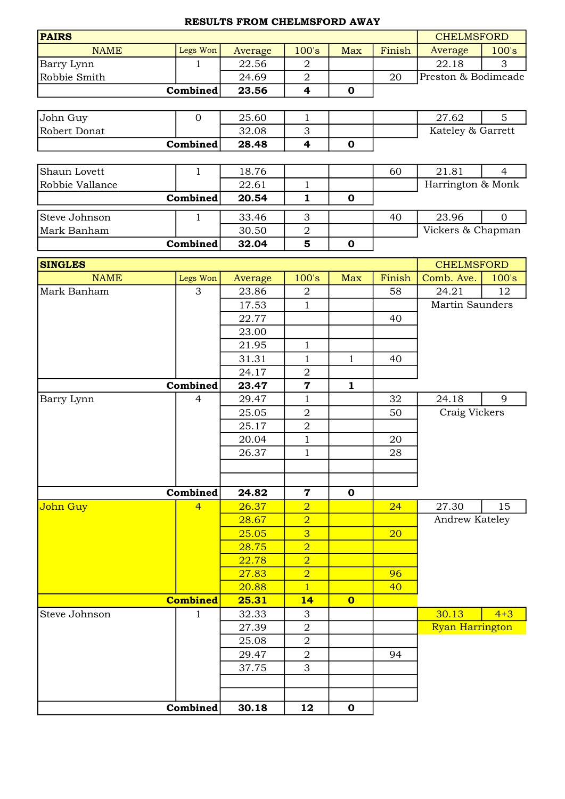## RESULTS FROM CHELMSFORD AWAY

| <b>PAIRS</b>               |                 |                  |                         |                         |            | <b>CHELMSFORD</b>               |                |
|----------------------------|-----------------|------------------|-------------------------|-------------------------|------------|---------------------------------|----------------|
| <b>NAME</b>                | Legs Won        | Average          | 100's                   | <b>Max</b>              | Finish     | Average                         | 100's          |
| Barry Lynn                 | $\mathbf{1}$    | 22.56            | $\overline{2}$          |                         |            | 22.18                           | 3              |
| Robbie Smith               |                 | 24.69            | $\overline{2}$          |                         | 20         | Preston & Bodimeade             |                |
|                            | Combined        | 23.56            | $\overline{\mathbf{4}}$ | $\mathbf 0$             |            |                                 |                |
|                            |                 |                  |                         |                         |            |                                 |                |
| John Guy                   | $\mathbf{0}$    | 25.60            | $\mathbf 1$             |                         |            | 27.62                           | 5              |
| Robert Donat               |                 | 32.08            | 3                       |                         |            | Kateley & Garrett               |                |
|                            | Combined        | 28.48            | $\overline{\mathbf{4}}$ | $\mathbf 0$             |            |                                 |                |
|                            |                 |                  |                         |                         |            |                                 |                |
| Shaun Lovett               | $\mathbf{1}$    | 18.76            |                         |                         | 60         | 21.81                           | $\overline{4}$ |
| Robbie Vallance            |                 | 22.61            | $\mathbf{1}$            |                         |            | Harrington & Monk               |                |
|                            | Combined        | 20.54            | $\mathbf{1}$            | $\mathbf 0$             |            |                                 |                |
| Steve Johnson              | $\mathbf{1}$    | 33.46            | 3                       |                         | 40         | 23.96                           | $\overline{0}$ |
| Mark Banham                |                 | 30.50            | $\overline{2}$          |                         |            | Vickers & Chapman               |                |
|                            | Combined        | 32.04            | 5                       | $\mathbf 0$             |            |                                 |                |
|                            |                 |                  |                         |                         |            |                                 |                |
| <b>SINGLES</b>             |                 |                  |                         |                         | Finish     | <b>CHELMSFORD</b><br>Comb. Ave. |                |
| <b>NAME</b><br>Mark Banham | Legs Won<br>3   | Average<br>23.86 | 100's<br>$\overline{2}$ | Max                     | 58         | 24.21                           | 100's<br>12    |
|                            |                 | 17.53            | $\mathbf{1}$            |                         |            | <b>Martin Saunders</b>          |                |
|                            |                 | 22.77            |                         |                         | 40         |                                 |                |
|                            |                 | 23.00            |                         |                         |            |                                 |                |
|                            |                 | 21.95            | $\mathbf{1}$            |                         |            |                                 |                |
|                            |                 | 31.31            | $\mathbf{1}$            | $\mathbf{1}$            | 40         |                                 |                |
|                            |                 | 24.17            | $\overline{2}$          |                         |            |                                 |                |
|                            | Combined        | 23.47            | $\overline{7}$          | $\mathbf{1}$            |            |                                 |                |
| Barry Lynn                 | $\overline{4}$  | 29.47            | $\mathbf{1}$            |                         | 32         | 24.18                           | 9              |
|                            |                 | 25.05            | $\overline{2}$          |                         | 50         | Craig Vickers                   |                |
|                            |                 | 25.17            | $\mathbf 2$             |                         |            |                                 |                |
|                            |                 | 20.04            | $\mathbf{1}$            |                         | 20         |                                 |                |
|                            |                 | 26.37            | $\mathbf 1$             |                         | ${\bf 28}$ |                                 |                |
|                            |                 |                  |                         |                         |            |                                 |                |
|                            |                 |                  |                         |                         |            |                                 |                |
|                            | Combined        | 24.82            | $\mathbf 7$             | $\mathbf 0$             |            |                                 |                |
| John Guy                   | $\overline{4}$  | 26.37            | $\overline{2}$          |                         | 24         | 27.30                           | 15             |
|                            |                 | 28.67            | $\overline{2}$          |                         |            | Andrew Kateley                  |                |
|                            |                 | 25.05            | $\overline{3}$          |                         | 20         |                                 |                |
|                            |                 | 28.75            | $\overline{2}$          |                         |            |                                 |                |
|                            |                 | 22.78            | $\overline{2}$          |                         |            |                                 |                |
|                            |                 | 27.83            | $\overline{2}$          |                         | 96         |                                 |                |
|                            |                 | 20.88            | $\overline{1}$          |                         | 40         |                                 |                |
|                            | <b>Combined</b> | 25.31            | 14                      | $\overline{\mathbf{o}}$ |            |                                 |                |
| Steve Johnson              | 1               | 32.33            | 3                       |                         |            | 30.13                           | $4 + 3$        |
|                            |                 | 27.39            | $\overline{2}$          |                         |            | <b>Ryan Harrington</b>          |                |
|                            |                 | 25.08            | $\sqrt{2}$              |                         |            |                                 |                |
|                            |                 | 29.47            | $\overline{2}$          |                         | 94         |                                 |                |
|                            |                 | 37.75            | 3                       |                         |            |                                 |                |
|                            |                 |                  |                         |                         |            |                                 |                |
|                            | Combined        |                  |                         | $\mathbf 0$             |            |                                 |                |
|                            |                 | 30.18            | 12                      |                         |            |                                 |                |